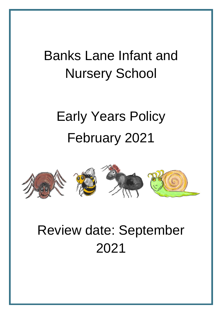## Banks Lane Infant and Nursery School

# Early Years Policy February 2021



## Review date: September 2021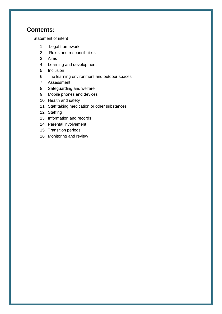## **Contents:**

[Statement of intent](#page-2-0)

- 1. [Legal framework](#page-3-0)
- 2. [Roles and responsibilities](#page-4-0)
- 3. [Aims](#page-4-1)
- 4. [Learning and development](#page-5-0)
- 5. [Inclusion](#page-7-0)
- 6. [The learning environment and outdoor spaces](#page-7-1)
- 7. [Assessment](#page-8-0)
- 8. [Safeguarding and welfare](#page-8-1)
- 9. [Mobile phones and devices](#page-9-0)
- 10. [Health and safety](#page-10-0)
- 11. [Staff taking medication or other substances](#page-11-0)
- 12. [Staffing](#page-11-1)
- 13. [Information and records](#page-12-0)
- 14. [Parental involvement](#page-13-0)
- 15. [Transition periods](#page-14-0)
- 16. [Monitoring and review](#page-14-1)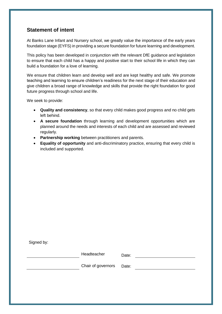## <span id="page-2-0"></span>**Statement of intent**

At Banks Lane Infant and Nursery school, we greatly value the importance of the early years foundation stage (EYFS) in providing a secure foundation for future learning and development.

This policy has been developed in conjunction with the relevant DfE guidance and legislation to ensure that each child has a happy and positive start to their school life in which they can build a foundation for a love of learning.

We ensure that children learn and develop well and are kept healthy and safe. We promote teaching and learning to ensure children's readiness for the next stage of their education and give children a broad range of knowledge and skills that provide the right foundation for good future progress through school and life.

We seek to provide:

- **Quality and consistency**, so that every child makes good progress and no child gets left behind.
- **A secure foundation** through learning and development opportunities which are planned around the needs and interests of each child and are assessed and reviewed regularly.
- **Partnership working** between practitioners and parents.
- **Equality of opportunity** and anti-discriminatory practice, ensuring that every child is included and supported.

Signed by:

| Headteacher              | Date: |  |
|--------------------------|-------|--|
| Chair of governors Date: |       |  |
|                          |       |  |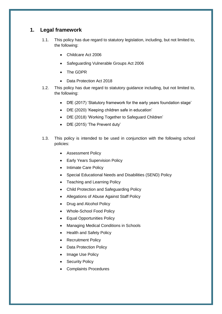## <span id="page-3-0"></span>**1. Legal framework**

- 1.1. This policy has due regard to statutory legislation, including, but not limited to, the following:
	- Childcare Act 2006
	- Safeguarding Vulnerable Groups Act 2006
	- The GDPR
	- Data Protection Act 2018
- 1.2. This policy has due regard to statutory guidance including, but not limited to, the following:
	- DfE (2017) 'Statutory framework for the early years foundation stage'
	- DfE (2020) 'Keeping children safe in education'
	- DfE (2018) 'Working Together to Safeguard Children'
	- DfE (2015) 'The Prevent duty'
- 1.3. This policy is intended to be used in conjunction with the following school policies:
	- **•** Assessment Policy
	- Early Years Supervision Policy
	- Intimate Care Policy
	- Special Educational Needs and Disabilities (SEND) Policy
	- Teaching and Learning Policy
	- Child Protection and Safeguarding Policy
	- Allegations of Abuse Against Staff Policy
	- Drug and Alcohol Policy
	- Whole-School Food Policy
	- Equal Opportunities Policy
	- Managing Medical Conditions in Schools
	- Health and Safety Policy
	- Recruitment Policy
	- Data Protection Policy
	- Image Use Policy
	- Security Policy
	- Complaints Procedures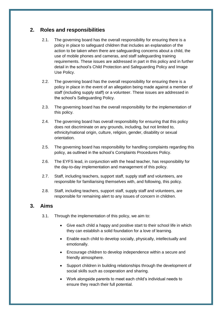## <span id="page-4-0"></span>**2. Roles and responsibilities**

- 2.1. The governing board has the overall responsibility for ensuring there is a policy in place to safeguard children that includes an explanation of the action to be taken when there are safeguarding concerns about a child, the use of mobile phones and cameras, and staff safeguarding training requirements. These issues are addressed in part in this policy and in further detail in the school's Child Protection and Safeguarding Policy and Image Use Policy.
- 2.2. The governing board has the overall responsibility for ensuring there is a policy in place in the event of an allegation being made against a member of staff (including supply staff) or a volunteer. These issues are addressed in the school's Safeguarding Policy.
- 2.3. The governing board has the overall responsibility for the implementation of this policy.
- 2.4. The governing board has overall responsibility for ensuring that this policy does not discriminate on any grounds, including, but not limited to, ethnicity/national origin, culture, religion, gender, disability or sexual orientation.
- 2.5. The governing board has responsibility for handling complaints regarding this policy, as outlined in the school's Complaints Procedures Policy.
- 2.6. The EYFS lead, in conjunction with the head teacher, has responsibility for the day-to-day implementation and management of this policy.
- 2.7. Staff, including teachers, support staff, supply staff and volunteers, are responsible for familiarising themselves with, and following, this policy.
- 2.8. Staff, including teachers, support staff, supply staff and volunteers, are responsible for remaining alert to any issues of concern in children.

## <span id="page-4-1"></span>**3. Aims**

- 3.1. Through the implementation of this policy, we aim to:
	- Give each child a happy and positive start to their school life in which they can establish a solid foundation for a love of learning.
	- Enable each child to develop socially, physically, intellectually and emotionally.
	- Encourage children to develop independence within a secure and friendly atmosphere.
	- Support children in building relationships through the development of social skills such as cooperation and sharing.
	- Work alongside parents to meet each child's individual needs to ensure they reach their full potential.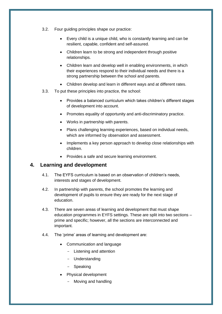- 3.2. Four guiding principles shape our practice:
	- Every child is a unique child, who is constantly learning and can be resilient, capable, confident and self-assured.
	- Children learn to be strong and independent through positive relationships.
	- Children learn and develop well in enabling environments, in which their experiences respond to their individual needs and there is a strong partnership between the school and parents.
	- Children develop and learn in different ways and at different rates.
- 3.3. To put these principles into practice, the school:
	- Provides a balanced curriculum which takes children's different stages of development into account.
	- Promotes equality of opportunity and anti-discriminatory practice.
	- Works in partnership with parents.
	- Plans challenging learning experiences, based on individual needs, which are informed by observation and assessment.
	- Implements a key person approach to develop close relationships with children.
	- Provides a safe and secure learning environment.

#### <span id="page-5-0"></span>**4. Learning and development**

- 4.1. The EYFS curriculum is based on an observation of children's needs, interests and stages of development.
- 4.2. In partnership with parents, the school promotes the learning and development of pupils to ensure they are ready for the next stage of education.
- 4.3. There are seven areas of learning and development that must shape education programmes in EYFS settings. These are split into two sections – prime and specific; however, all the sections are interconnected and important.
- 4.4. The 'prime' areas of learning and development are:
	- Communication and language
		- Listening and attention
		- Understanding
		- Speaking
	- Physical development
		- Moving and handling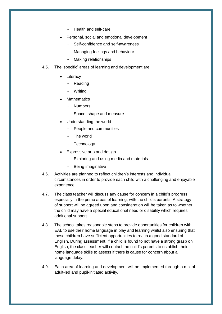- Health and self-care
- Personal, social and emotional development
	- Self-confidence and self-awareness
	- Managing feelings and behaviour
	- Making relationships
- 4.5. The 'specific' areas of learning and development are:
	- Literacy
		- Reading
		- Writing
	- Mathematics
		- Numbers
		- Space, shape and measure
	- Understanding the world
		- People and communities
		- The world
		- Technology
	- Expressive arts and design
		- Exploring and using media and materials
		- Being imaginative
- 4.6. Activities are planned to reflect children's interests and individual circumstances in order to provide each child with a challenging and enjoyable experience.
- 4.7. The class teacher will discuss any cause for concern in a child's progress, especially in the prime areas of learning, with the child's parents. A strategy of support will be agreed upon and consideration will be taken as to whether the child may have a special educational need or disability which requires additional support.
- 4.8. The school takes reasonable steps to provide opportunities for children with EAL to use their home language in play and learning whilst also ensuring that these children have sufficient opportunities to reach a good standard of English. During assessment, if a child is found to not have a strong grasp on English, the class teacher will contact the child's parents to establish their home language skills to assess if there is cause for concern about a language delay.
- 4.9. Each area of learning and development will be implemented through a mix of adult-led and pupil-initiated activity.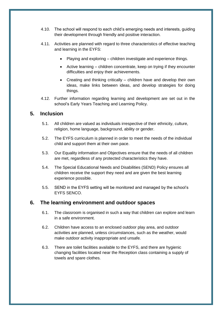- 4.10. The school will respond to each child's emerging needs and interests, guiding their development through friendly and positive interaction.
- 4.11. Activities are planned with regard to three characteristics of effective teaching and learning in the EYFS:
	- Playing and exploring children investigate and experience things.
	- Active learning children concentrate, keep on trying if they encounter difficulties and enjoy their achievements.
	- Creating and thinking critically children have and develop their own ideas, make links between ideas, and develop strategies for doing things.
- 4.12. Further information regarding learning and development are set out in the school's Early Years Teaching and Learning Policy.

#### <span id="page-7-0"></span>**5. Inclusion**

- 5.1. All children are valued as individuals irrespective of their ethnicity, culture, religion, home language, background, ability or gender.
- 5.2. The EYFS curriculum is planned in order to meet the needs of the individual child and support them at their own pace.
- 5.3. Our Equality information and Objectives ensure that the needs of all children are met, regardless of any protected characteristics they have.
- 5.4. The Special Educational Needs and Disabilities (SEND) Policy ensures all children receive the support they need and are given the best learning experience possible.
- 5.5. SEND in the EYFS setting will be monitored and managed by the school's EYFS SENCO.

#### <span id="page-7-1"></span>**6. The learning environment and outdoor spaces**

- 6.1. The classroom is organised in such a way that children can explore and learn in a safe environment.
- 6.2. Children have access to an enclosed outdoor play area, and outdoor activities are planned, unless circumstances, such as the weather, would make outdoor activity inappropriate and unsafe.
- 6.3. There are toilet facilities available to the EYFS, and there are hygienic changing facilities located near the Reception class containing a supply of towels and spare clothes.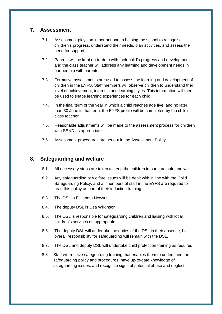## <span id="page-8-0"></span>**7. Assessment**

- 7.1. Assessment plays an important part in helping the school to recognise children's progress, understand their needs, plan activities, and assess the need for support.
- 7.2. Parents will be kept up-to-date with their child's progress and development, and the class teacher will address any learning and development needs in partnership with parents.
- 7.3. Formative assessments are used to assess the learning and development of children in the EYFS. Staff members will observe children to understand their level of achievement, interests and learning styles. This information will then be used to shape learning experiences for each child.
- 7.4. In the final term of the year in which a child reaches age five, and no later than 30 June in that term, the EYFS profile will be completed by the child's class teacher.
- 7.5. Reasonable adjustments will be made to the assessment process for children with SEND as appropriate.
- 7.6. Assessment procedures are set out in the Assessment Policy.

## <span id="page-8-1"></span>**8. Safeguarding and welfare**

- 8.1. All necessary steps are taken to keep the children in our care safe and well.
- 8.2. Any safeguarding or welfare issues will be dealt with in line with the Child Safeguarding Policy, and all members of staff in the EYFS are required to read this policy as part of their induction training.
- 8.3. The DSL is Elizabeth Newson.
- 8.4. The deputy DSL is Lisa Wilkinson.
- 8.5. The DSL is responsible for safeguarding children and liaising with local children's services as appropriate.
- 8.6. The deputy DSL will undertake the duties of the DSL in their absence, but overall responsibility for safeguarding will remain with the DSL.
- 8.7. The DSL and deputy DSL will undertake child protection training as required.
- 8.8. Staff will receive safeguarding training that enables them to understand the safeguarding policy and procedures, have up-to-date knowledge of safeguarding issues, and recognise signs of potential abuse and neglect.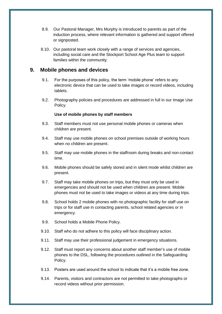- 8.9. Our Pastoral Manager, Mrs Murphy is introduced to parents as part of the induction process, where relevant information is gathered and support offered or signposted.
- 8.10. Our pastoral team work closely with a range of services and agencies, including social care and the Stockport School Age Plus team to support families within the community.

#### <span id="page-9-0"></span>**9. Mobile phones and devices**

- 9.1. For the purposes of this policy, the term 'mobile phone' refers to any electronic device that can be used to take images or record videos, including tablets.
- 9.2. Photography policies and procedures are addressed in full in our Image Use Policy.

#### **Use of mobile phones by staff members**

- 9.3. Staff members must not use personal mobile phones or cameras when children are present.
- 9.4. Staff may use mobile phones on school premises outside of working hours when no children are present.
- 9.5. Staff may use mobile phones in the staffroom during breaks and non-contact time.
- 9.6. Mobile phones should be safely stored and in silent mode whilst children are present.
- 9.7. Staff may take mobile phones on trips, but they must only be used in emergencies and should not be used when children are present. Mobile phones must not be used to take images or videos at any time during trips.
- 9.8. School holds 2 mobile phones with no photographic facility for staff use on trips or for staff use in contacting parents, school related agencies or in emergency.
- 9.9. School holds a Mobile Phone Policy.
- 9.10. Staff who do not adhere to this policy will face disciplinary action.
- 9.11. Staff may use their professional judgement in emergency situations.
- 9.12. Staff must report any concerns about another staff member's use of mobile phones to the DSL, following the procedures outlined in the Safeguarding Policy.
- 9.13. Posters are used around the school to indicate that it's a mobile free zone.
- 9.14. Parents, visitors and contractors are not permitted to take photographs or record videos without prior permission.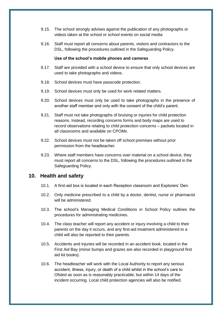- 9.15. The school strongly advises against the publication of any photographs or videos taken at the school or school events on social media
- 9.16. Staff must report all concerns about parents, visitors and contractors to the DSL, following the procedures outlined in the Safeguarding Policy.

#### **Use of the school's mobile phones and cameras**

- 9.17. Staff are provided with a school device to ensure that only school devices are used to take photographs and videos.
- 9.18. School devices must have passcode protection.
- 9.19. School devices must only be used for work related matters.
- 9.20. School devices must only be used to take photographs in the presence of another staff member and only with the consent of the child's parent.
- 9.21. Staff must not take photographs of bruising or injuries for child protection reasons. Instead, recording concerns forms and body maps are used to record observations relating to child protection concerns – packets located in all classrooms and available on CPOMs.
- 9.22. School devices must not be taken off school premises without prior permission from the headteacher.
- 9.23. Where staff members have concerns over material on a school device, they must report all concerns to the DSL, following the procedures outlined in the Safeguarding Policy.

#### <span id="page-10-0"></span>**10. Health and safety**

- 10.1. A first-aid box is located in each Reception classroom and Explorers' Den.
- 10.2. Only medicine prescribed to a child by a doctor, dentist, nurse or pharmacist will be administered.
- 10.3. The school's Managing Medical Conditions in School Policy outlines the procedures for administrating medicines.
- 10.4. The class teacher will report any accident or injury involving a child to their parents on the day it occurs, and any first-aid treatment administered to a child will also be reported to their parents.
- 10.5. Accidents and injuries will be recorded in an accident book, located in the First Aid Bay (minor bumps and grazes are also recorded in playground first aid kit books).
- 10.6. The headteacher will work with the Local Authority to report any serious accident, illness, injury, or death of a child whilst in the school's care to Ofsted as soon as is reasonably practicable, but within 14 days of the incident occurring. Local child protection agencies will also be notified.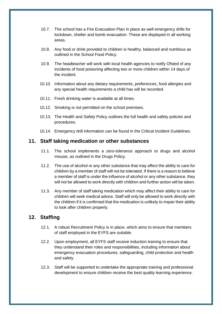- 10.7. The school has a Fire Evacuation Plan in place as well emergency drills for lockdown, shelter and bomb evacuation. These are displayed in all working areas.
- 10.8. Any food or drink provided to children is healthy, balanced and nutritious as outlined in the School Food Policy.
- 10.9. The headteacher will work with local health agencies to notify Ofsted of any incidents of food poisoning affecting two or more children within 14 days of the incident.
- 10.10. Information about any dietary requirements, preferences, food allergies and any special health requirements a child has will be recorded.
- 10.11. Fresh drinking water is available at all times.
- 10.12. Smoking is not permitted on the school premises.
- 10.13. The Health and Safety Policy outlines the full health and safety policies and procedures.
- 10.14. Emergency drill information can be found in the Critical Incident Guidelines.

#### <span id="page-11-0"></span>**11. Staff taking medication or other substances**

- 11.1. The school implements a zero-tolerance approach to drugs and alcohol misuse, as outlined in the Drugs Policy.
- 11.2. The use of alcohol or any other substance that may affect the ability to care for children by a member of staff will not be tolerated. If there is a reason to believe a member of staff is under the influence of alcohol or any other substance, they will not be allowed to work directly with children and further action will be taken.
- 11.3. Any member of staff taking medication which may affect their ability to care for children will seek medical advice. Staff will only be allowed to work directly with the children if it is confirmed that the medication is unlikely to impair their ability to look after children properly.

#### <span id="page-11-1"></span>**12. Staffing**

- 12.1. A robust Recruitment Policy is in place, which aims to ensure that members of staff employed in the EYFS are suitable.
- 12.2. Upon employment, all EYFS staff receive induction training to ensure that they understand their roles and responsibilities, including information about emergency evacuation procedures, safeguarding, child protection and health and safety.
- 12.3. Staff will be supported to undertake the appropriate training and professional development to ensure children receive the best quality learning experience.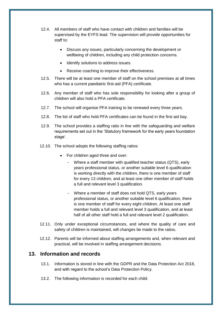- 12.4. All members of staff who have contact with children and families will be supervised by the EYFS lead. The supervision will provide opportunities for staff to:
	- Discuss any issues, particularly concerning the development or wellbeing of children, including any child protection concerns.
	- Identify solutions to address issues.
	- Receive coaching to improve their effectiveness.
- 12.5. There will be at least one member of staff on the school premises at all times who has a current paediatric first-aid (PFA) certificate.
- 12.6. Any member of staff who has sole responsibility for looking after a group of children will also hold a PFA certificate.
- 12.7. The school will organise PFA training to be renewed every three years.
- 12.8. The list of staff who hold PFA certificates can be found in the first aid bay.
- 12.9. The school provides a staffing ratio in line with the safeguarding and welfare requirements set out in the 'Statutory framework for the early years foundation stage'.
- 12.10. The school adopts the following staffing ratios:
	- For children aged three and over:
		- Where a staff member with qualified teacher status (QTS), early years professional status, or another suitable level 6 qualification is working directly with the children, there is one member of staff for every 13 children, and at least one other member of staff holds a full and relevant level 3 qualification.
		- Where a member of staff does not hold QTS, early years professional status, or another suitable level 6 qualification, there is one member of staff for every eight children. At least one staff member holds a full and relevant level 3 qualification, and at least half of all other staff hold a full and relevant level 2 qualification.
- 12.11. Only under exceptional circumstances, and where the quality of care and safety of children is maintained, will changes be made to the ratios.
- 12.12. Parents will be informed about staffing arrangements and, when relevant and practical, will be involved in staffing arrangement decisions.

#### <span id="page-12-0"></span>**13. Information and records**

- 13.1. Information is stored in line with the GDPR and the Data Protection Act 2018, and with regard to the school's Data Protection Policy.
- 13.2. The following information is recorded for each child: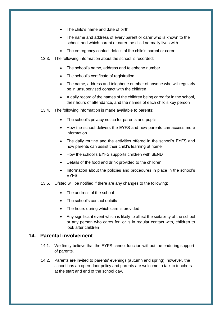- The child's name and date of birth
- The name and address of every parent or carer who is known to the school, and which parent or carer the child normally lives with
- The emergency contact details of the child's parent or carer
- 13.3. The following information about the school is recorded:
	- The school's name, address and telephone number
	- The school's certificate of registration
	- The name, address and telephone number of anyone who will regularly be in unsupervised contact with the children
	- A daily record of the names of the children being cared for in the school, their hours of attendance, and the names of each child's key person
- 13.4. The following information is made available to parents:
	- The school's privacy notice for parents and pupils
	- How the school delivers the EYFS and how parents can access more information
	- The daily routine and the activities offered in the school's EYFS and how parents can assist their child's learning at home
	- How the school's EYFS supports children with SEND
	- Details of the food and drink provided to the children
	- Information about the policies and procedures in place in the school's EYFS
- 13.5. Ofsted will be notified if there are any changes to the following:
	- The address of the school
	- The school's contact details
	- The hours during which care is provided
	- Any significant event which is likely to affect the suitability of the school or any person who cares for, or is in regular contact with, children to look after children

## <span id="page-13-0"></span>**14. Parental involvement**

- 14.1. We firmly believe that the EYFS cannot function without the enduring support of parents.
- 14.2. Parents are invited to parents' evenings (autumn and spring); however, the school has an open-door policy and parents are welcome to talk to teachers at the start and end of the school day.